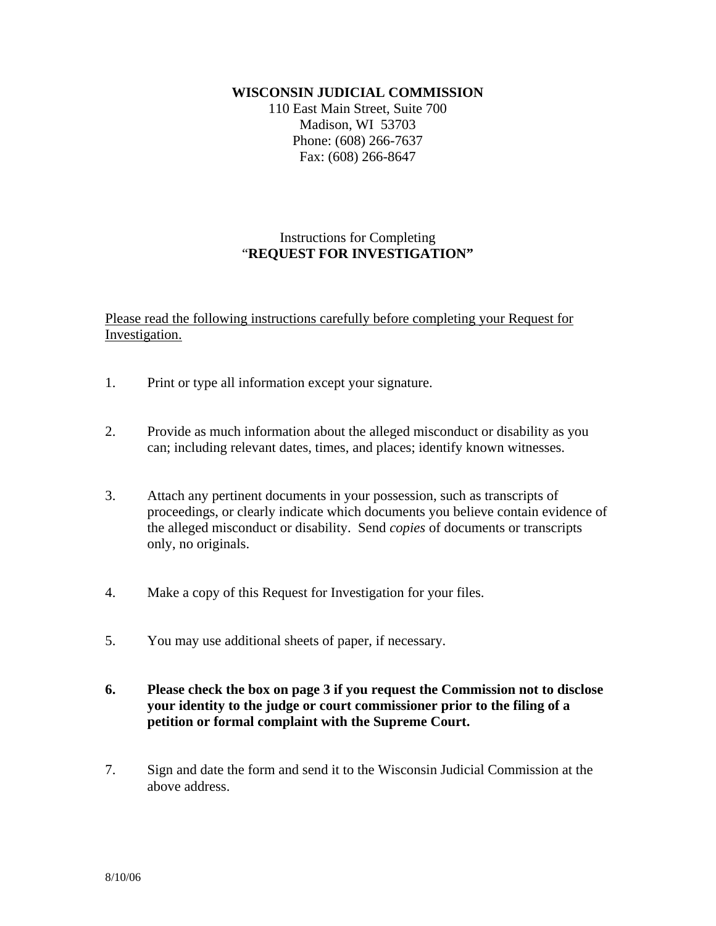## **WISCONSIN JUDICIAL COMMISSION**

110 East Main Street, Suite 700 Madison, WI 53703 Phone: (608) 266-7637 Fax: (608) 266-8647

## Instructions for Completing "**REQUEST FOR INVESTIGATION"**

Please read the following instructions carefully before completing your Request for Investigation.

- 1. Print or type all information except your signature.
- 2. Provide as much information about the alleged misconduct or disability as you can; including relevant dates, times, and places; identify known witnesses.
- 3. Attach any pertinent documents in your possession, such as transcripts of proceedings, or clearly indicate which documents you believe contain evidence of the alleged misconduct or disability. Send *copies* of documents or transcripts only, no originals.
- 4. Make a copy of this Request for Investigation for your files.
- 5. You may use additional sheets of paper, if necessary.
- **6. Please check the box on page 3 if you request the Commission not to disclose your identity to the judge or court commissioner prior to the filing of a petition or formal complaint with the Supreme Court.**
- 7. Sign and date the form and send it to the Wisconsin Judicial Commission at the above address.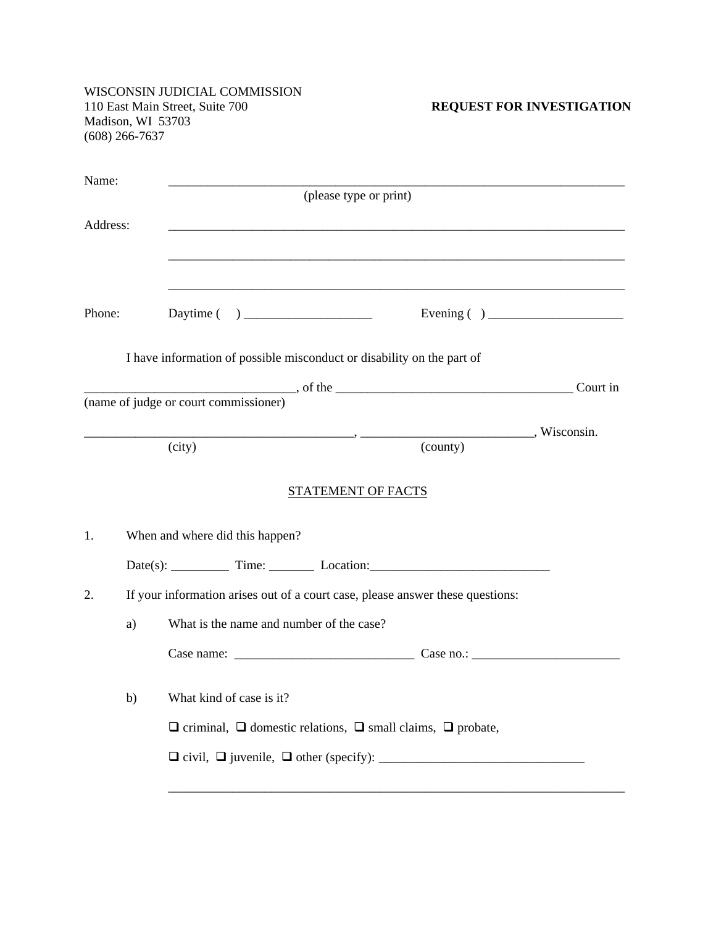WISCONSIN JUDICIAL COMMISSION 110 East Main Street, Suite 700 **REQUEST FOR INVESTIGATION** Madison, WI 53703 (608) 266-7637 Name: \_\_\_\_\_\_\_\_\_\_\_\_\_\_\_\_\_\_\_\_\_\_\_\_\_\_\_\_\_\_\_\_\_\_\_\_\_\_\_\_\_\_\_\_\_\_\_\_\_\_\_\_\_\_\_\_\_\_\_\_\_\_\_\_\_\_\_\_\_\_\_ (please type or print) Address: \_\_\_\_\_\_\_\_\_\_\_\_\_\_\_\_\_\_\_\_\_\_\_\_\_\_\_\_\_\_\_\_\_\_\_\_\_\_\_\_\_\_\_\_\_\_\_\_\_\_\_\_\_\_\_\_\_\_\_\_\_\_\_\_\_\_\_\_\_\_\_ \_\_\_\_\_\_\_\_\_\_\_\_\_\_\_\_\_\_\_\_\_\_\_\_\_\_\_\_\_\_\_\_\_\_\_\_\_\_\_\_\_\_\_\_\_\_\_\_\_\_\_\_\_\_\_\_\_\_\_\_\_\_\_\_\_\_\_\_\_\_\_ \_\_\_\_\_\_\_\_\_\_\_\_\_\_\_\_\_\_\_\_\_\_\_\_\_\_\_\_\_\_\_\_\_\_\_\_\_\_\_\_\_\_\_\_\_\_\_\_\_\_\_\_\_\_\_\_\_\_\_\_\_\_\_\_\_\_\_\_\_\_\_ Phone: Daytime ( ) \_\_\_\_\_\_\_\_\_\_\_\_\_\_\_\_\_\_\_\_ Evening ( ) \_\_\_\_\_\_\_\_\_\_\_\_\_\_\_\_\_\_\_\_\_ I have information of possible misconduct or disability on the part of \_\_\_\_\_\_\_\_\_\_\_\_\_\_\_\_\_\_\_\_\_\_\_\_\_\_\_\_\_\_\_\_\_, of the \_\_\_\_\_\_\_\_\_\_\_\_\_\_\_\_\_\_\_\_\_\_\_\_\_\_\_\_\_\_\_\_\_\_\_\_\_ Court in (name of judge or court commissioner) \_\_\_\_\_\_\_\_\_\_\_\_\_\_\_\_\_\_\_\_\_\_\_\_\_\_\_\_\_\_\_\_\_\_\_\_\_\_\_\_\_\_, \_\_\_\_\_\_\_\_\_\_\_\_\_\_\_\_\_\_\_\_\_\_\_\_\_\_\_, Wisconsin. (city) (county) STATEMENT OF FACTS 1. When and where did this happen?  $Date(s):$  Time: Location: Location: 2. If your information arises out of a court case, please answer these questions: a) What is the name and number of the case?  $Case name:$ b) What kind of case is it?  $\Box$  criminal,  $\Box$  domestic relations,  $\Box$  small claims,  $\Box$  probate, civil, juvenile, other (specify): \_\_\_\_\_\_\_\_\_\_\_\_\_\_\_\_\_\_\_\_\_\_\_\_\_\_\_\_\_\_\_\_ \_\_\_\_\_\_\_\_\_\_\_\_\_\_\_\_\_\_\_\_\_\_\_\_\_\_\_\_\_\_\_\_\_\_\_\_\_\_\_\_\_\_\_\_\_\_\_\_\_\_\_\_\_\_\_\_\_\_\_\_\_\_\_\_\_\_\_\_\_\_\_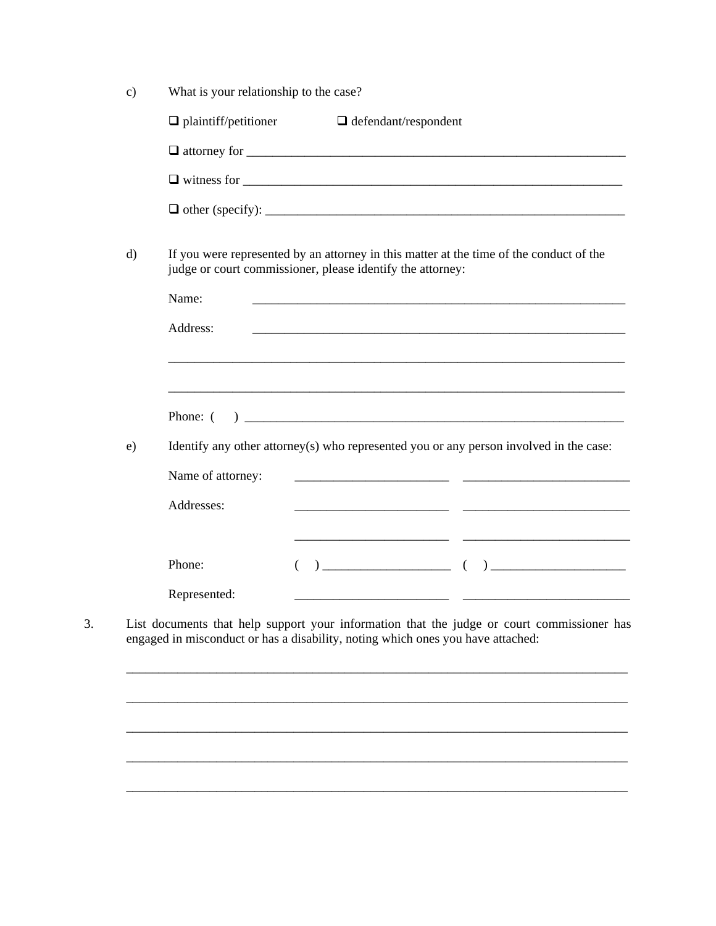| $\mathbf{c})$ | What is your relationship to the case?                                                                                                                |                                                                                 |                                                                                                                      |  |
|---------------|-------------------------------------------------------------------------------------------------------------------------------------------------------|---------------------------------------------------------------------------------|----------------------------------------------------------------------------------------------------------------------|--|
|               | $\Box$ plaintiff/petitioner                                                                                                                           | $\Box$ defendant/respondent                                                     |                                                                                                                      |  |
|               |                                                                                                                                                       |                                                                                 |                                                                                                                      |  |
|               |                                                                                                                                                       |                                                                                 | $\Box$ witness for $\Box$                                                                                            |  |
|               |                                                                                                                                                       |                                                                                 |                                                                                                                      |  |
| $\mathbf{d}$  | If you were represented by an attorney in this matter at the time of the conduct of the<br>judge or court commissioner, please identify the attorney: |                                                                                 |                                                                                                                      |  |
|               | Name:                                                                                                                                                 |                                                                                 |                                                                                                                      |  |
|               | Address:                                                                                                                                              |                                                                                 |                                                                                                                      |  |
|               |                                                                                                                                                       |                                                                                 |                                                                                                                      |  |
|               |                                                                                                                                                       |                                                                                 | <u> 1989 - Johann Barn, mars et al. 1989 - Anna anno 1989 - Anna ann an t-Amhain ann an t-Amhain ann an t-Amhain</u> |  |
|               | Phone: (                                                                                                                                              |                                                                                 |                                                                                                                      |  |
| e)            | Identify any other attorney(s) who represented you or any person involved in the case:                                                                |                                                                                 |                                                                                                                      |  |
|               | Name of attorney:                                                                                                                                     |                                                                                 |                                                                                                                      |  |
|               | Addresses:                                                                                                                                            |                                                                                 |                                                                                                                      |  |
|               | Phone:                                                                                                                                                |                                                                                 | $\begin{array}{cccccccccccccc} ( & & ) & & & & ( & ) & & & & & \end{array}$                                          |  |
|               | Represented:                                                                                                                                          |                                                                                 |                                                                                                                      |  |
|               |                                                                                                                                                       | engaged in misconduct or has a disability, noting which ones you have attached: | List documents that help support your information that the judge or court commissioner has                           |  |
|               |                                                                                                                                                       |                                                                                 |                                                                                                                      |  |
|               |                                                                                                                                                       |                                                                                 |                                                                                                                      |  |
|               |                                                                                                                                                       |                                                                                 |                                                                                                                      |  |
|               |                                                                                                                                                       |                                                                                 |                                                                                                                      |  |
|               |                                                                                                                                                       |                                                                                 |                                                                                                                      |  |

 $\overline{3}$ .